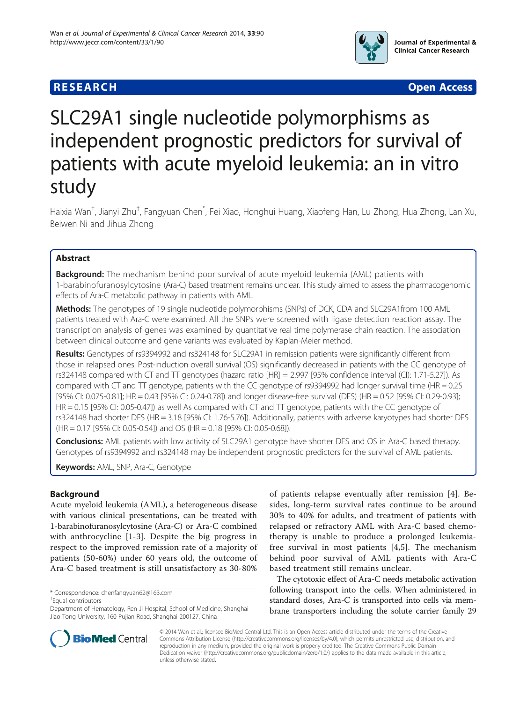## **RESEARCH CHEAR CHEAR CHEAR CHEAR CHEAR CHEAR CHEAR CHEAR CHEAR CHEAR CHEAR CHEAR CHEAR CHEAR CHEAR CHEAR CHEAR**



# SLC29A1 single nucleotide polymorphisms as independent prognostic predictors for survival of patients with acute myeloid leukemia: an in vitro study

Haixia Wan<sup>†</sup>, Jianyi Zhu<sup>†</sup>, Fangyuan Chen<sup>\*</sup>, Fei Xiao, Honghui Huang, Xiaofeng Han, Lu Zhong, Hua Zhong, Lan Xu, Beiwen Ni and Jihua Zhong

## Abstract

Background: The mechanism behind poor survival of acute myeloid leukemia (AML) patients with 1-barabinofuranosylcytosine (Ara-C) based treatment remains unclear. This study aimed to assess the pharmacogenomic effects of Ara-C metabolic pathway in patients with AML.

Methods: The genotypes of 19 single nucleotide polymorphisms (SNPs) of DCK, CDA and SLC29A1from 100 AML patients treated with Ara-C were examined. All the SNPs were screened with ligase detection reaction assay. The transcription analysis of genes was examined by quantitative real time polymerase chain reaction. The association between clinical outcome and gene variants was evaluated by Kaplan-Meier method.

Results: Genotypes of rs9394992 and rs324148 for SLC29A1 in remission patients were significantly different from those in relapsed ones. Post-induction overall survival (OS) significantly decreased in patients with the CC genotype of rs324148 compared with CT and TT genotypes (hazard ratio [HR] = 2.997 [95% confidence interval (CI): 1.71-5.27]). As compared with CT and TT genotype, patients with the CC genotype of rs9394992 had longer survival time (HR =  $0.25$ ) [95% CI: 0.075-0.81]; HR = 0.43 [95% CI: 0.24-0.78]) and longer disease-free survival (DFS) (HR = 0.52 [95% CI: 0.29-0.93]; HR = 0.15 [95% CI: 0.05-0.47]) as well As compared with CT and TT genotype, patients with the CC genotype of rs324148 had shorter DFS (HR = 3.18 [95% CI: 1.76-5.76]). Additionally, patients with adverse karyotypes had shorter DFS (HR = 0.17 [95% CI: 0.05-0.54]) and OS (HR = 0.18 [95% CI: 0.05-0.68]).

**Conclusions:** AML patients with low activity of SLC29A1 genotype have shorter DFS and OS in Ara-C based therapy. Genotypes of rs9394992 and rs324148 may be independent prognostic predictors for the survival of AML patients.

Keywords: AML, SNP, Ara-C, Genotype

## Background

Acute myeloid leukemia (AML), a heterogeneous disease with various clinical presentations, can be treated with 1-barabinofuranosylcytosine (Ara-C) or Ara-C combined with anthrocycline [\[1-3](#page-7-0)]. Despite the big progress in respect to the improved remission rate of a majority of patients (50-60%) under 60 years old, the outcome of Ara-C based treatment is still unsatisfactory as 30-80%

Equal contributors



The cytotoxic effect of Ara-C needs metabolic activation following transport into the cells. When administered in standard doses, Ara-C is transported into cells via membrane transporters including the solute carrier family 29



© 2014 Wan et al.; licensee BioMed Central Ltd. This is an Open Access article distributed under the terms of the Creative Commons Attribution License [\(http://creativecommons.org/licenses/by/4.0\)](http://creativecommons.org/licenses/by/4.0), which permits unrestricted use, distribution, and reproduction in any medium, provided the original work is properly credited. The Creative Commons Public Domain Dedication waiver [\(http://creativecommons.org/publicdomain/zero/1.0/](http://creativecommons.org/publicdomain/zero/1.0/)) applies to the data made available in this article, unless otherwise stated.

<sup>\*</sup> Correspondence: [chenfangyuan62@163.com](mailto:chenfangyuan62@163.com) †

Department of Hematology, Ren Ji Hospital, School of Medicine, Shanghai Jiao Tong University, 160 Pujian Road, Shanghai 200127, China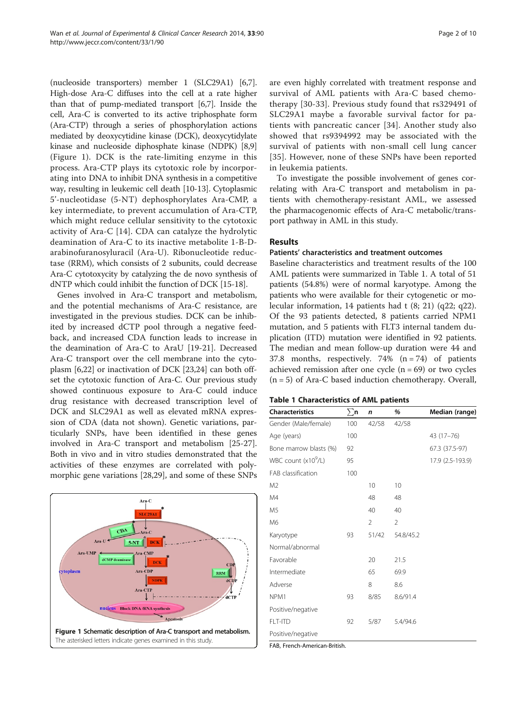(nucleoside transporters) member 1 (SLC29A1) [[6](#page-7-0),[7](#page-7-0)]. High-dose Ara-C diffuses into the cell at a rate higher than that of pump-mediated transport [[6,7\]](#page-7-0). Inside the cell, Ara-C is converted to its active triphosphate form (Ara-CTP) through a series of phosphorylation actions mediated by deoxycytidine kinase (DCK), deoxycytidylate kinase and nucleoside diphosphate kinase (NDPK) [[8,9](#page-7-0)] (Figure 1). DCK is the rate-limiting enzyme in this process. Ara-CTP plays its cytotoxic role by incorporating into DNA to inhibit DNA synthesis in a competitive way, resulting in leukemic cell death [\[10-](#page-7-0)[13\]](#page-8-0). Cytoplasmic 5'-nucleotidase (5-NT) dephosphorylates Ara-CMP, a key intermediate, to prevent accumulation of Ara-CTP, which might reduce cellular sensitivity to the cytotoxic activity of Ara-C [\[14](#page-8-0)]. CDA can catalyze the hydrolytic deamination of Ara-C to its inactive metabolite 1-B-Darabinofuranosyluracil (Ara-U). Ribonucleotide reductase (RRM), which consists of 2 subunits, could decrease Ara-C cytotoxycity by catalyzing the de novo synthesis of dNTP which could inhibit the function of DCK [\[15-18\]](#page-8-0).

Genes involved in Ara-C transport and metabolism, and the potential mechanisms of Ara-C resistance, are investigated in the previous studies. DCK can be inhibited by increased dCTP pool through a negative feedback, and increased CDA function leads to increase in the deamination of Ara-C to AraU [\[19](#page-8-0)-[21\]](#page-8-0). Decreased Ara-C transport over the cell membrane into the cytoplasm [[6,](#page-7-0)[22\]](#page-8-0) or inactivation of DCK [[23](#page-8-0),[24](#page-8-0)] can both offset the cytotoxic function of Ara-C. Our previous study showed continuous exposure to Ara-C could induce drug resistance with decreased transcription level of DCK and SLC29A1 as well as elevated mRNA expression of CDA (data not shown). Genetic variations, particularly SNPs, have been identified in these genes involved in Ara-C transport and metabolism [\[25-27](#page-8-0)]. Both in vivo and in vitro studies demonstrated that the activities of these enzymes are correlated with polymorphic gene variations [[28](#page-8-0),[29](#page-8-0)], and some of these SNPs



are even highly correlated with treatment response and survival of AML patients with Ara-C based chemotherapy [[30](#page-8-0)-[33](#page-8-0)]. Previous study found that rs329491 of SLC29A1 maybe a favorable survival factor for patients with pancreatic cancer [[34](#page-8-0)]. Another study also showed that rs9394992 may be associated with the survival of patients with non-small cell lung cancer [[35](#page-8-0)]. However, none of these SNPs have been reported in leukemia patients.

To investigate the possible involvement of genes correlating with Ara-C transport and metabolism in patients with chemotherapy-resistant AML, we assessed the pharmacogenomic effects of Ara-C metabolic/transport pathway in AML in this study.

#### Results

#### Patients' characteristics and treatment outcomes

Baseline characteristics and treatment results of the 100 AML patients were summarized in Table 1. A total of 51 patients (54.8%) were of normal karyotype. Among the patients who were available for their cytogenetic or molecular information, 14 patients had t (8; 21) (q22; q22). Of the 93 patients detected, 8 patients carried NPM1 mutation, and 5 patients with FLT3 internal tandem duplication (ITD) mutation were identified in 92 patients. The median and mean follow-up duration were 44 and 37.8 months, respectively. 74% (n = 74) of patients achieved remission after one cycle  $(n = 69)$  or two cycles  $(n = 5)$  of Ara-C based induction chemotherapy. Overall,

|  |  | <b>Table 1 Characteristics of AML patients</b> |  |  |  |
|--|--|------------------------------------------------|--|--|--|
|--|--|------------------------------------------------|--|--|--|

| <b>Characteristics</b>     | $\Sigma$ n | n              | %              | Median (range)   |
|----------------------------|------------|----------------|----------------|------------------|
| Gender (Male/female)       | 100        | 42/58          | 42/58          |                  |
| Age (years)                | 100        |                |                | 43 (17-76)       |
| Bone marrow blasts (%)     | 92         |                |                | 67.3 (37.5-97)   |
| WBC count $(x10^9/L)$      | 95         |                |                | 17.9 (2.5-193.9) |
| FAB classification         | 100        |                |                |                  |
| M <sub>2</sub>             |            | 10             | 10             |                  |
| M4                         |            | 48             | 48             |                  |
| M <sub>5</sub>             |            | 40             | 40             |                  |
| M <sub>6</sub>             |            | $\overline{2}$ | $\overline{2}$ |                  |
| Karyotype                  | 93         | 51/42          | 54.8/45.2      |                  |
| Normal/abnormal            |            |                |                |                  |
| Favorable                  |            | 20             | 21.5           |                  |
| Intermediate               |            | 65             | 69.9           |                  |
| Adverse                    |            | 8              | 8.6            |                  |
| NPM1                       | 93         | 8/85           | 8.6/91.4       |                  |
| Positive/negative          |            |                |                |                  |
| FLT-ITD                    | 92         | 5/87           | 5.4/94.6       |                  |
| Positive/negative          |            |                |                |                  |
| FAD Formal American Dubish |            |                |                |                  |

FAB, French-American-British.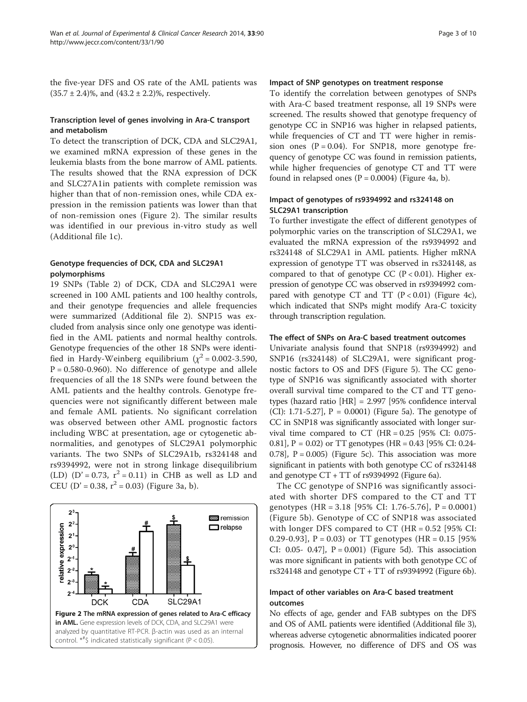## Transcription level of genes involving in Ara-C transport and metabolism

To detect the transcription of DCK, CDA and SLC29A1, we examined mRNA expression of these genes in the leukemia blasts from the bone marrow of AML patients. The results showed that the RNA expression of DCK and SLC27A1in patients with complete remission was higher than that of non-remission ones, while CDA expression in the remission patients was lower than that of non-remission ones (Figure 2). The similar results was identified in our previous in-vitro study as well (Additional file [1c](#page-7-0)).

## Genotype frequencies of DCK, CDA and SLC29A1 polymorphisms

19 SNPs (Table [2](#page-3-0)) of DCK, CDA and SLC29A1 were screened in 100 AML patients and 100 healthy controls, and their genotype frequencies and allele frequencies were summarized (Additional file [2](#page-7-0)). SNP15 was excluded from analysis since only one genotype was identified in the AML patients and normal healthy controls. Genotype frequencies of the other 18 SNPs were identified in Hardy-Weinberg equilibrium ( $\chi^2$  = 0.002-3.590,  $P = 0.580 - 0.960$ . No difference of genotype and allele frequencies of all the 18 SNPs were found between the AML patients and the healthy controls. Genotype frequencies were not significantly different between male and female AML patients. No significant correlation was observed between other AML prognostic factors including WBC at presentation, age or cytogenetic abnormalities, and genotypes of SLC29A1 polymorphic variants. The two SNPs of SLC29A1b, rs324148 and rs9394992, were not in strong linkage disequilibrium (LD) (D' = 0.73,  $r^2$  = 0.11) in CHB as well as LD and CEU (D' = 0.38,  $r^2$  = 0.03) (Figure [3a](#page-3-0), b).



#### Impact of SNP genotypes on treatment response

To identify the correlation between genotypes of SNPs with Ara-C based treatment response, all 19 SNPs were screened. The results showed that genotype frequency of genotype CC in SNP16 was higher in relapsed patients, while frequencies of CT and TT were higher in remission ones  $(P = 0.04)$ . For SNP18, more genotype frequency of genotype CC was found in remission patients, while higher frequencies of genotype CT and TT were found in relapsed ones  $(P = 0.0004)$  (Figure [4a](#page-4-0), b).

## Impact of genotypes of rs9394992 and rs324148 on SLC29A1 transcription

To further investigate the effect of different genotypes of polymorphic varies on the transcription of SLC29A1, we evaluated the mRNA expression of the rs9394992 and rs324148 of SLC29A1 in AML patients. Higher mRNA expression of genotype TT was observed in rs324148, as compared to that of genotype CC ( $P < 0.01$ ). Higher expression of genotype CC was observed in rs9394992 compared with genotype CT and TT  $(P < 0.01)$  (Figure [4](#page-4-0)c), which indicated that SNPs might modify Ara-C toxicity through transcription regulation.

#### The effect of SNPs on Ara-C based treatment outcomes

Univariate analysis found that SNP18 (rs9394992) and SNP16 (rs324148) of SLC29A1, were significant prognostic factors to OS and DFS (Figure [5\)](#page-4-0). The CC genotype of SNP16 was significantly associated with shorter overall survival time compared to the CT and TT genotypes (hazard ratio [HR] = 2.997 [95% confidence interval (CI): 1.71-5.27],  $P = 0.0001$ ) (Figure [5a](#page-4-0)). The genotype of CC in SNP18 was significantly associated with longer survival time compared to CT  $(HR = 0.25)$  [95% CI: 0.075-0.81], P = 0.02) or TT genotypes (HR = 0.43 [95% CI: 0.24- 0.78],  $P = 0.005$  (Figure [5](#page-4-0)c). This association was more significant in patients with both genotype CC of rs324148 and genotype CT + TT of rs9394992 (Figure [6](#page-5-0)a).

The CC genotype of SNP16 was significantly associated with shorter DFS compared to the CT and TT genotypes (HR = 3.18 [95% CI: 1.76-5.76], P = 0.0001) (Figure [5b](#page-4-0)). Genotype of CC of SNP18 was associated with longer DFS compared to  $CT$  (HR = 0.52 [95% CI: 0.29-0.93],  $P = 0.03$  or TT genotypes (HR = 0.15 [95% CI: 0.05- 0.47],  $P = 0.001$  (Figure [5d](#page-4-0)). This association was more significant in patients with both genotype CC of rs324148 and genotype CT + TT of rs9394992 (Figure [6](#page-5-0)b).

## Impact of other variables on Ara-C based treatment outcomes

No effects of age, gender and FAB subtypes on the DFS and OS of AML patients were identified (Additional file [3](#page-7-0)), whereas adverse cytogenetic abnormalities indicated poorer prognosis. However, no difference of DFS and OS was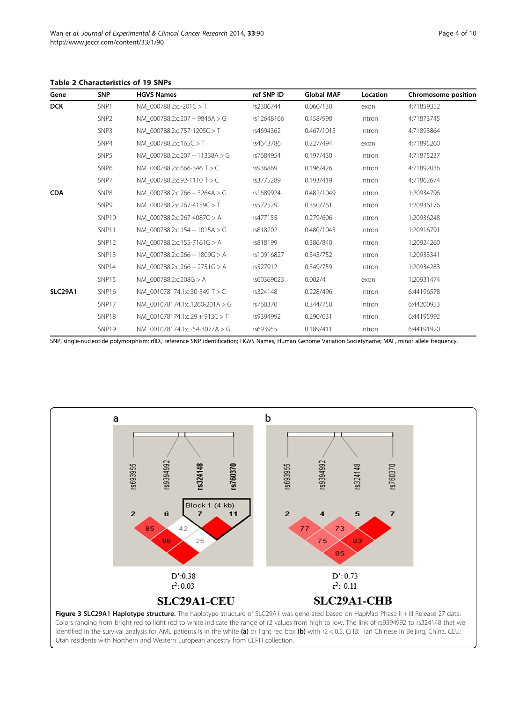<span id="page-3-0"></span>Table 2 Characteristics of 19 SNPs

| Gene           | <b>SNP</b>        | <b>HGVS Names</b>              | ref SNP ID | <b>Global MAF</b> | Location | Chromosome position |
|----------------|-------------------|--------------------------------|------------|-------------------|----------|---------------------|
| <b>DCK</b>     | SNP1              | NM 000788.2:c.-201C > T        | rs2306744  | 0.060/130         | exon     | 4:71859352          |
|                | SNP <sub>2</sub>  | NM 000788.2:c.207 + 9846A > G  | rs12648166 | 0.458/998         | intron   | 4:71873745          |
|                | SNP3              | NM 000788.2:c.757-1205C > T    | rs4694362  | 0.467/1015        | intron   | 4:71893864          |
|                | SNP4              | NM 000788.2:c.165C > T         | rs4643786  | 0.227/494         | exon     | 4:71895260          |
|                | SNP5              | NM 000788.2:c.207 + 11338A > G | rs7684954  | 0.197/430         | intron   | 4:71875237          |
|                | SNP <sub>6</sub>  | NM 000788.2:c.666-346 T > C    | rs936869   | 0.196/426         | intron   | 4:71892036          |
|                | SNP7              | NM 000788.2:c.92-1110 T > C    | rs3775289  | 0.193/419         | intron   | 4:71862674          |
| <b>CDA</b>     | SNP8              | NM 000788.2:c.266 + 3264A > G  | rs1689924  | 0.482/1049        | intron   | 1:20934796          |
|                | SNP9              | NM 000788.2:c.267-4159C > T    | rs572529   | 0.350/761         | intron   | 1:20936176          |
|                | SNP <sub>10</sub> | NM 000788.2:c.267-4087G > A    | rs477155   | 0.279/606         | intron   | 1:20936248          |
|                | SNP11             | NM 000788.2:c.154 + 1015A > G  | rs818202   | 0.480/1045        | intron   | 1:20916791          |
|                | SNP12             | NM 000788.2:c.155-7161G > A    | rs818199   | 0.386/840         | intron   | 1:20924260          |
|                | SNP13             | NM 000788.2:c.266 + 1809G > A  | rs10916827 | 0.345/752         | intron   | 1:20933341          |
|                | SNP14             | NM 000788.2:c.266 + 2751G > A  | rs527912   | 0.349/759         | intron   | 1:20934283          |
|                | SNP15             | NM 000788.2:c.208G > A         | rs60369023 | 0.002/4           | exon     | 1:20931474          |
| <b>SLC29A1</b> | SNP16             | NM 001078174.1:c.30-549 T > C  | rs324148   | 0.228/496         | intron   | 6:44196578          |
|                | SNP17             | NM 001078174.1:c.1260-201A > G | rs760370   | 0.344/750         | intron   | 6:44200953          |
|                | SNP18             | NM 001078174.1:c.29 + 913C > T | rs9394992  | 0.290/631         | intron   | 6:44195992          |
|                | SNP19             | NM 001078174.1:c.-54-3077A > G | rs693955   | 0.189/411         | intron   | 6:44191920          |

SNP, single-nucleotide polymorphism; rfID., reference SNP identification; HGVS Names, Human Genome Variation Societyname; MAF, minor allele frequency.



Colors ranging from bright red to light red to white indicate the range of r2 values from high to low. The link of rs9394992 to rs324148 that we identified in the survival analysis for AML patients is in the white (a) or light red box (b) with r2 < 0.5. CHB: Han Chinese in Beijing, China. CEU: Utah residents with Northern and Western European ancestry from CEPH collection.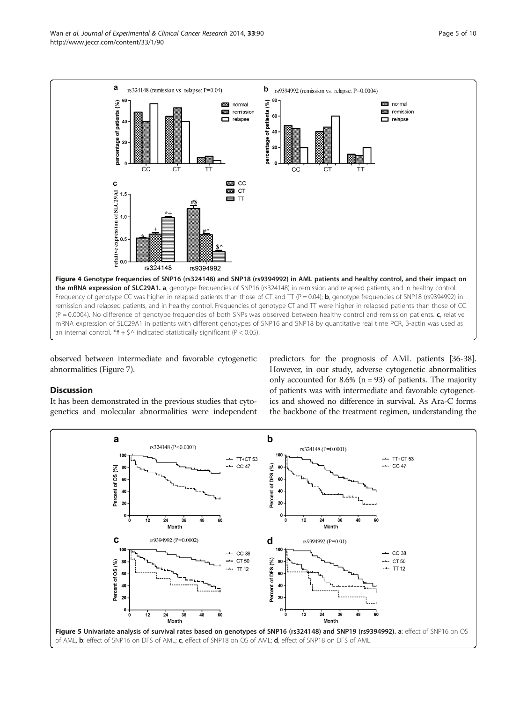<span id="page-4-0"></span>

observed between intermediate and favorable cytogenetic abnormalities (Figure [7](#page-5-0)).

#### **Discussion**

It has been demonstrated in the previous studies that cytogenetics and molecular abnormalities were independent

predictors for the prognosis of AML patients [\[36-38](#page-8-0)]. However, in our study, adverse cytogenetic abnormalities only accounted for 8.6% ( $n = 93$ ) of patients. The majority of patients was with intermediate and favorable cytogenetics and showed no difference in survival. As Ara-C forms the backbone of the treatment regimen, understanding the

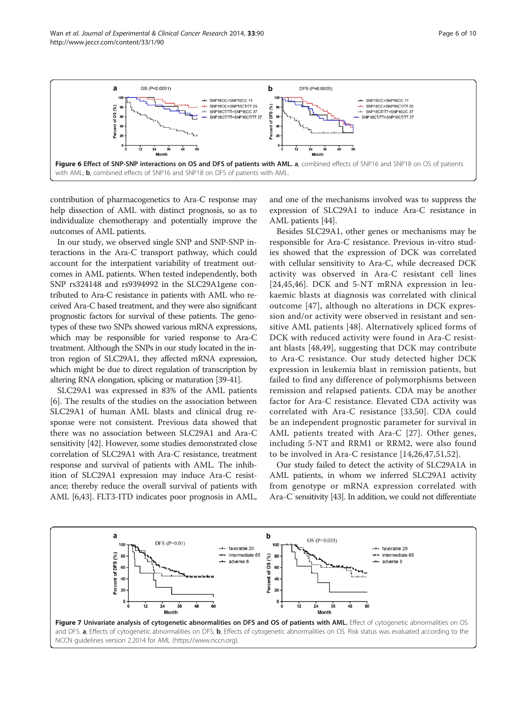<span id="page-5-0"></span>

contribution of pharmacogenetics to Ara-C response may help dissection of AML with distinct prognosis, so as to individualize chemotherapy and potentially improve the outcomes of AML patients.

In our study, we observed single SNP and SNP-SNP interactions in the Ara-C transport pathway, which could account for the interpatient variability of treatment outcomes in AML patients. When tested independently, both SNP rs324148 and rs9394992 in the SLC29A1gene contributed to Ara-C resistance in patients with AML who received Ara-C based treatment, and they were also significant prognostic factors for survival of these patients. The genotypes of these two SNPs showed various mRNA expressions, which may be responsible for varied response to Ara-C treatment. Although the SNPs in our study located in the intron region of SLC29A1, they affected mRNA expression, which might be due to direct regulation of transcription by altering RNA elongation, splicing or maturation [[39-41\]](#page-8-0).

SLC29A1 was expressed in 83% of the AML patients [[6\]](#page-7-0). The results of the studies on the association between SLC29A1 of human AML blasts and clinical drug response were not consistent. Previous data showed that there was no association between SLC29A1 and Ara-C sensitivity [[42](#page-8-0)]. However, some studies demonstrated close correlation of SLC29A1 with Ara-C resistance, treatment response and survival of patients with AML. The inhibition of SLC29A1 expression may induce Ara-C resistance; thereby reduce the overall survival of patients with AML [\[6](#page-7-0)[,43](#page-8-0)]. FLT3-ITD indicates poor prognosis in AML, and one of the mechanisms involved was to suppress the expression of SLC29A1 to induce Ara-C resistance in AML patients [\[44\]](#page-8-0).

Besides SLC29A1, other genes or mechanisms may be responsible for Ara-C resistance. Previous in-vitro studies showed that the expression of DCK was correlated with cellular sensitivity to Ara-C, while decreased DCK activity was observed in Ara-C resistant cell lines [[24,45,46\]](#page-8-0). DCK and 5-NT mRNA expression in leukaemic blasts at diagnosis was correlated with clinical outcome [\[47\]](#page-8-0), although no alterations in DCK expression and/or activity were observed in resistant and sensitive AML patients [[48\]](#page-9-0). Alternatively spliced forms of DCK with reduced activity were found in Ara-C resistant blasts [[48,49](#page-9-0)], suggesting that DCK may contribute to Ara-C resistance. Our study detected higher DCK expression in leukemia blast in remission patients, but failed to find any difference of polymorphisms between remission and relapsed patients. CDA may be another factor for Ara-C resistance. Elevated CDA activity was correlated with Ara-C resistance [\[33](#page-8-0),[50\]](#page-9-0). CDA could be an independent prognostic parameter for survival in AML patients treated with Ara-C [[27](#page-8-0)]. Other genes, including 5-NT and RRM1 or RRM2, were also found to be involved in Ara-C resistance [\[14](#page-8-0),[26,47](#page-8-0),[51,52](#page-9-0)].

Our study failed to detect the activity of SLC29A1A in AML patients, in whom we inferred SLC29A1 activity from genotype or mRNA expression correlated with Ara-C sensitivity [\[43\]](#page-8-0). In addition, we could not differentiate

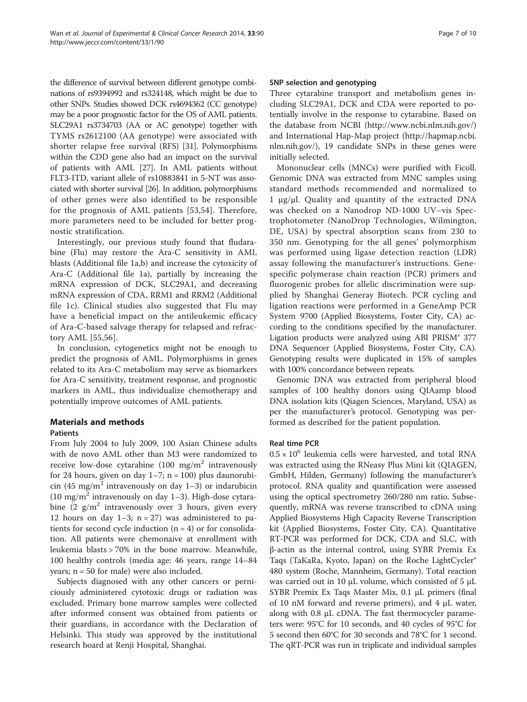the difference of survival between different genotype combinations of rs9394992 and rs324148, which might be due to other SNPs. Studies showed DCK rs4694362 (CC genotype) may be a poor prognostic factor for the OS of AML patients. SLC29A1 rs3734703 (AA or AC genotype) together with TYMS rs2612100 (AA genotype) were associated with shorter relapse free survival (RFS) [\[31](#page-8-0)]. Polymorphisms within the CDD gene also had an impact on the survival of patients with AML [[27](#page-8-0)]. In AML patients without FLT3-ITD, variant allele of rs10883841 in 5-NT was associated with shorter survival [\[26\]](#page-8-0). In addition, polymorphisms of other genes were also identified to be responsible for the prognosis of AML patients [[53,54](#page-9-0)]. Therefore, more parameters need to be included for better prognostic stratification.

Interestingly, our previous study found that fludarabine (Flu) may restore the Ara-C sensitivity in AML blasts (Additional file [1](#page-7-0)a,b) and increase the cytoxicity of Ara-C (Additional file [1](#page-7-0)a), partially by increasing the mRNA expression of DCK, SLC29A1, and decreasing mRNA expression of CDA, RRM1 and RRM2 (Additional file [1c](#page-7-0)). Clinical studies also suggested that Flu may have a beneficial impact on the antileukemic efficacy of Ara-C-based salvage therapy for relapsed and refractory AML [[55](#page-9-0),[56\]](#page-9-0).

In conclusion, cytogenetics might not be enough to predict the prognosis of AML. Polymorphisms in genes related to its Ara-C metabolism may serve as biomarkers for Ara-C sensitivity, treatment response, and prognostic markers in AML, thus individualize chemotherapy and potentially improve outcomes of AML patients.

## Materials and methods Patients

From July 2004 to July 2009, 100 Asian Chinese adults with de novo AML other than M3 were randomized to receive low-dose cytarabine (100 mg/m<sup>2</sup> intravenously for 24 hours, given on day  $1-7$ ; n = 100) plus daunorubicin (45 mg/m<sup>2</sup> intravenously on day 1-3) or indarubicin (10 mg/m<sup>2</sup> intravenously on day 1–3). High-dose cytarabine  $(2 \text{ g/m}^2 \text{ intravenously over } 3 \text{ hours, given every})$ 12 hours on day  $1-3$ ; n = 27) was administered to patients for second cycle induction  $(n = 4)$  or for consolidation. All patients were chemonaive at enrollment with leukemia blasts > 70% in the bone marrow. Meanwhile, 100 healthy controls (media age: 46 years, range 14–84 years;  $n = 50$  for male) were also included.

Subjects diagnosed with any other cancers or perniciously administered cytotoxic drugs or radiation was excluded. Primary bone marrow samples were collected after informed consent was obtained from patients or their guardians, in accordance with the Declaration of Helsinki. This study was approved by the institutional research board at Renji Hospital, Shanghai.

## SNP selection and genotyping

Three cytarabine transport and metabolism genes including SLC29A1, DCK and CDA were reported to potentially involve in the response to cytarabine. Based on the database from NCBI [\(http://www.ncbi.nlm.nih.gov/](http://www.ncbi.nlm.nih.gov/)) and International Hap-Map project ([http://hapmap.ncbi.](http://hapmap.ncbi.nlm.nih.gov/) [nlm.nih.gov/](http://hapmap.ncbi.nlm.nih.gov/)), 19 candidate SNPs in these genes were initially selected.

Mononuclear cells (MNCs) were purified with Ficoll. Genomic DNA was extracted from MNC samples using standard methods recommended and normalized to 1 μg/μl. Quality and quantity of the extracted DNA was checked on a Nanodrop ND-1000 UV–vis Spectrophotometer (NanoDrop Technologies, Wilmington, DE, USA) by spectral absorption scans from 230 to 350 nm. Genotyping for the all genes' polymorphism was performed using ligase detection reaction (LDR) assay following the manufacturer's instructions. Genespecific polymerase chain reaction (PCR) primers and fluorogenic probes for allelic discrimination were supplied by Shanghai Generay Biotech. PCR cycling and ligation reactions were performed in a GeneAmp PCR System 9700 (Applied Biosystems, Foster City, CA) according to the conditions specified by the manufacturer. Ligation products were analyzed using ABI PRISM® 377 DNA Sequencer (Applied Biosystems, Foster City, CA). Genotyping results were duplicated in 15% of samples with 100% concordance between repeats.

Genomic DNA was extracted from peripheral blood samples of 100 healthy donors using QIAamp blood DNA isolation kits (Qiagen Sciences, Maryland, USA) as per the manufacturer's protocol. Genotyping was performed as described for the patient population.

## Real time PCR

 $0.5 \times 10^6$  leukemia cells were harvested, and total RNA was extracted using the RNeasy Plus Mini kit (QIAGEN, GmbH, Hilden, Germany) following the manufacturer's protocol. RNA quality and quantification were assessed using the optical spectrometry 260/280 nm ratio. Subsequently, mRNA was reverse transcribed to cDNA using Applied Biosystems High Capacity Reverse Transcription kit (Applied Biosystems, Foster City, CA). Quantitative RT-PCR was performed for DCK, CDA and SLC, with β-actin as the internal control, using SYBR Premix Ex Taqs (TaKaRa, Kyoto, Japan) on the Roche LightCycler® 480 system (Roche, Mannheim, Germany). Total reaction was carried out in 10 μL volume, which consisted of 5 μL SYBR Premix Ex Taqs Master Mix, 0.1 μL primers (final of 10 nM forward and reverse primers), and 4 μL water, along with 0.8 μL cDNA. The fast thermocycler parameters were: 95°C for 10 seconds, and 40 cycles of 95°C for 5 second then 60°C for 30 seconds and 78°C for 1 second. The qRT-PCR was run in triplicate and individual samples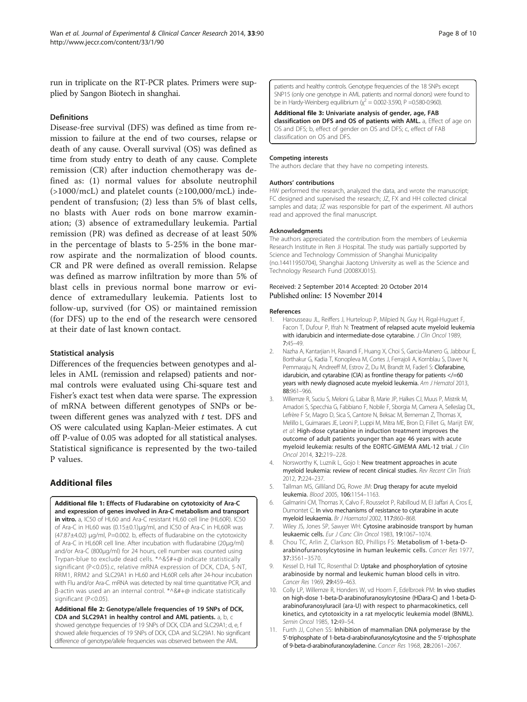<span id="page-7-0"></span>run in triplicate on the RT-PCR plates. Primers were supplied by Sangon Biotech in shanghai.

#### **Definitions**

Disease-free survival (DFS) was defined as time from remission to failure at the end of two courses, relapse or death of any cause. Overall survival (OS) was defined as time from study entry to death of any cause. Complete remission (CR) after induction chemotherapy was defined as: (1) normal values for absolute neutrophil  $(>1000/mcL)$  and platelet counts  $(≥100,000/mcL)$  independent of transfusion; (2) less than 5% of blast cells, no blasts with Auer rods on bone marrow examination; (3) absence of extramedullary leukemia. Partial remission (PR) was defined as decrease of at least 50% in the percentage of blasts to 5-25% in the bone marrow aspirate and the normalization of blood counts. CR and PR were defined as overall remission. Relapse was defined as marrow infiltration by more than 5% of blast cells in previous normal bone marrow or evidence of extramedullary leukemia. Patients lost to follow-up, survived (for OS) or maintained remission (for DFS) up to the end of the research were censored at their date of last known contact.

#### Statistical analysis

Differences of the frequencies between genotypes and alleles in AML (remission and relapsed) patients and normal controls were evaluated using Chi-square test and Fisher's exact test when data were sparse. The expression of mRNA between different genotypes of SNPs or between different genes was analyzed with  $t$  test. DFS and OS were calculated using Kaplan-Meier estimates. A cut off P-value of 0.05 was adopted for all statistical analyses. Statistical significance is represented by the two-tailed P values.

## Additional files

[Additional file 1:](http://www.jeccr.com/content/supplementary/s13046-014-0090-9-s1.doc) Effects of Fludarabine on cytotoxicity of Ara-C and expression of genes involved in Ara-C metabolism and transport in vitro. a, IC50 of HL60 and Ara-C resistant HL60 cell line (HL60R). IC50 of Ara-C in HL60 was (0.15±0.1)μg/ml, and IC50 of Ara-C in HL60R was (47.87±4.02) μg/ml, P=0.002. b, effects of fludarabine on the cytotoxicity of Ara-C in HL60R cell line. After incubation with fludarabine (20μg/ml) and/or Ara-C (800μg/ml) for 24 hours, cell number was counted using Trypan-blue to exclude dead cells. \*^&\$#+@ indicate statistically significant (P<0.05).c, relative mRNA expression of DCK, CDA, 5-NT, RRM1, RRM2 and SLC29A1 in HL60 and HL60R cells after 24-hour incubation with Flu and/or Ara-C. mRNA was detected by real time quantitative PCR, and β-actin was used an an internal control. \*^&#+@ indicate statistically significant (P<0.05).

[Additional file 2:](http://www.jeccr.com/content/supplementary/s13046-014-0090-9-s2.doc) Genotype/allele frequencies of 19 SNPs of DCK, CDA and SLC29A1 in healthy control and AML patients. a, b, c showed genotype frequencies of 19 SNPs of DCK, CDA and SLC29A1; d, e, f showed allele frequencies of 19 SNPs of DCK, CDA and SLC29A1. No significant difference of genotype/allele frequencies was observed between the AML

patients and healthy controls. Genotype frequencies of the 18 SNPs except SNP15 (only one genotype in AML patients and normal donors) were found to be in Hardy-Weinberg equilibrium  $\chi^2 = 0.002$ -3.590, P = 0.580-0.960).

[Additional file 3:](http://www.jeccr.com/content/supplementary/s13046-014-0090-9-s3.doc) Univariate analysis of gender, age, FAB classification on DFS and OS of patients with AML. a, Effect of age on OS and DFS; b, effect of gender on OS and DFS; c, effect of FAB classification on OS and DFS.

#### Competing interests

The authors declare that they have no competing interests.

#### Authors' contributions

HW performed the research, analyzed the data, and wrote the manuscript; FC designed and supervised the research; JZ, FX and HH collected clinical samples and data; JZ was responsible for part of the experiment. All authors read and approved the final manuscript.

#### Acknowledgments

The authors appreciated the contribution from the members of Leukemia Research Institute in Ren Ji Hospital. The study was partially supported by Science and Technology Commission of Shanghai Municipality (no.14411950704), Shanghai Jiaotong University as well as the Science and Technology Research Fund (2008XJ015).

#### Received: 2 September 2014 Accepted: 20 October 2014 Published online: 15 November 2014

#### References

- 1. Harousseau JL, Reiffers J, Hurteloup P, Milpied N, Guy H, Rigal-Huguet F, Facon T, Dufour P, Ifrah N: Treatment of relapsed acute myeloid leukemia with idarubicin and intermediate-dose cytarabine. J Clin Oncol 1989, 7:45–49.
- 2. Nazha A, Kantarjian H, Ravandi F, Huang X, Choi S, Garcia-Manero G, Jabbour E, Borthakur G, Kadia T, Konopleva M, Cortes J, Ferrajoli A, Kornblau S, Daver N, Pemmaraju N, Andreeff M, Estrov Z, Du M, Brandt M, Faderl S: Clofarabine, idarubicin, and cytarabine (CIA) as frontline therapy for patients </=60 years with newly diagnosed acute myeloid leukemia. Am J Hematol 2013, 88:961–966.
- 3. Willemze R, Suciu S, Meloni G, Labar B, Marie JP, Halkes CJ, Muus P, Mistrik M, Amadori S, Specchia G, Fabbiano F, Nobile F, Sborgia M, Camera A, Selleslag DL, Lefrère F Sr, Magro D, Sica S, Cantore N, Beksac M, Berneman Z, Thomas X, Melillo L, Guimaraes JE, Leoni P, Luppi M, Mitra ME, Bron D, Fillet G, Marijt EW, et al: High-dose cytarabine in induction treatment improves the outcome of adult patients younger than age 46 years with acute myeloid leukemia: results of the EORTC-GIMEMA AML-12 trial. J Clin Oncol 2014, 32:219–228.
- Norsworthy K, Luznik L, Gojo I: New treatment approaches in acute myeloid leukemia: review of recent clinical studies. Rev Recent Clin Trials 2012, 7:224–237.
- 5. Tallman MS, Gilliland DG, Rowe JM: Drug therapy for acute myeloid leukemia. Blood 2005, 106:1154–1163.
- 6. Galmarini CM, Thomas X, Calvo F, Rousselot P, Rabilloud M, El Jaffari A, Cros E, Dumontet C: In vivo mechanisms of resistance to cytarabine in acute myeloid leukaemia. Br J Haematol 2002, 117:860–868.
- 7. Wiley JS, Jones SP, Sawyer WH: Cytosine arabinoside transport by human leukaemic cells. Eur J Canc Clin Oncol 1983, 19:1067–1074.
- 8. Chou TC, Arlin Z, Clarkson BD, Phillips FS: Metabolism of 1-beta-Darabinofuranosylcytosine in human leukemic cells. Cancer Res 1977, 37:3561–3570.
- 9. Kessel D, Hall TC, Rosenthal D: Uptake and phosphorylation of cytosine arabinoside by normal and leukemic human blood cells in vitro. Cancer Res 1969, 29:459–463.
- 10. Colly LP, Willemze R, Honders W, vd Hoorn F, Edelbroek PM: In vivo studies on high-dose 1-beta-D-arabinofuranosylcytosine (HDara-C) and 1-beta-Darabinofuranosyluracil (ara-U) with respect to pharmacokinetics, cell kinetics, and cytotoxicity in a rat myelocytic leukemia model (BNML). Semin Oncol 1985, 12:49-54.
- 11. Furth JJ, Cohen SS: Inhibition of mammalian DNA polymerase by the 5'-triphosphate of 1-beta-d-arabinofuranosylcytosine and the 5'-triphosphate of 9-beta-d-arabinofuranoxyladenine. Cancer Res 1968, 28:2061–2067.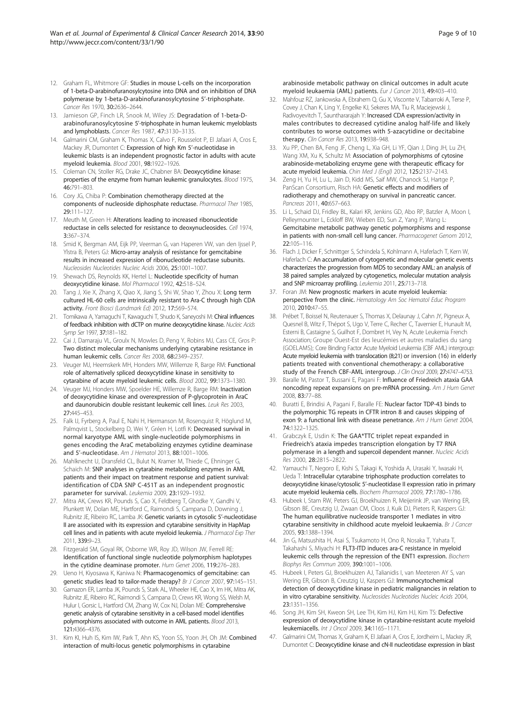- <span id="page-8-0"></span>12. Graham FL, Whitmore GF: Studies in mouse L-cells on the incorporation of 1-beta-D-arabinofuranosylcytosine into DNA and on inhibition of DNA polymerase by 1-beta-D-arabinofuranosylcytosine 5'-triphosphate. Cancer Res 1970, 30:2636–2644.
- 13. Jamieson GP, Finch LR, Snook M, Wiley JS: Degradation of 1-beta-Darabinofuranosylcytosine 5'-triphosphate in human leukemic myeloblasts and lymphoblasts. Cancer Res 1987, 47:3130–3135.
- 14. Galmarini CM, Graham K, Thomas X, Calvo F, Rousselot P, El Jafaari A, Cros E, Mackey JR, Dumontet C: Expression of high Km 5'-nucleotidase in leukemic blasts is an independent prognostic factor in adults with acute myeloid leukemia. Blood 2001, 98:1922–1926.
- 15. Coleman CN, Stoller RG, Drake JC, Chabner BA: Deoxycytidine kinase: properties of the enzyme from human leukemic granulocytes. Blood 1975, 46:791–803.
- 16. Cory JG, Chiba P: Combination chemotherapy directed at the components of nucleoside diphosphate reductase. Pharmacol Ther 1985, 29:111–127.
- 17. Meuth M, Green H: Alterations leading to increased ribonucleotide reductase in cells selected for resistance to deoxynucleosides. Cell 1974, 3:367–374.
- 18. Smid K, Bergman AM, Eijk PP, Veerman G, van Haperen VW, van den Ijssel P, Ylstra B, Peters GJ: Micro-array analysis of resistance for gemcitabine results in increased expression of ribonucleotide reductase subunits. Nucleosides Nucleotides Nucleic Acids 2006, 25:1001–1007.
- 19. Shewach DS, Reynolds KK, Hertel L: Nucleotide specificity of human deoxycytidine kinase. Mol Pharmacol 1992, 42:518–524.
- 20. Tang J, Xie X, Zhang X, Qiao X, Jiang S, Shi W, Shao Y, Zhou X: Long term cultured HL-60 cells are intrinsically resistant to Ara-C through high CDA activity. Front Biosci (Landmark Ed) 2012, 17:569–574.
- 21. Tomikawa A, Yamaguchi T, Kawaguchi T, Shudo K, Saneyoshi M: Chiral influences of feedback inhibition with dCTP on murine deoxycytidine kinase. Nucleic Acids Symp Ser 1997, 37:181–182.
- 22. Cai J, Damaraju VL, Groulx N, Mowles D, Peng Y, Robins MJ, Cass CE, Gros P: Two distinct molecular mechanisms underlying cytarabine resistance in human leukemic cells. Cancer Res 2008, 68:2349–2357.
- 23. Veuger MJ, Heemskerk MH, Honders MW, Willemze R, Barge RM: Functional role of alternatively spliced deoxycytidine kinase in sensitivity to cytarabine of acute myeloid leukemic cells. Blood 2002, 99:1373–1380.
- 24. Veuger MJ, Honders MW, Spoelder HE, Willemze R, Barge RM: Inactivation of deoxycytidine kinase and overexpression of P-glycoprotein in AraC and daunorubicin double resistant leukemic cell lines. Leuk Res 2003, 27:445–453.
- 25. Falk IJ, Fyrberg A, Paul E, Nahi H, Hermanson M, Rosenquist R, Höglund M, Palmqvist L, Stockelberg D, Wei Y, Gréen H, Lotfi K: Decreased survival in normal karyotype AML with single-nucleotide polymorphisms in genes encoding the AraC metabolizing enzymes cytidine deaminase and 5'-nucleotidase. Am J Hematol 2013, 88:1001–1006.
- 26. Mahlknecht U, Dransfeld CL, Bulut N, Kramer M, Thiede C, Ehninger G, Schaich M: SNP analyses in cytarabine metabolizing enzymes in AML patients and their impact on treatment response and patient survival: identification of CDA SNP C-451T as an independent prognostic parameter for survival. Leukemia 2009, 23:1929–1932.
- 27. Mitra AK, Crews KR, Pounds S, Cao X, Feldberg T, Ghodke Y, Gandhi V, Plunkett W, Dolan ME, Hartford C, Raimondi S, Campana D, Downing J, Rubnitz JE, Ribeiro RC, Lamba JK: Genetic variants in cytosolic 5'-nucleotidase II are associated with its expression and cytarabine sensitivity in HapMap cell lines and in patients with acute myeloid leukemia. J Pharmacol Exp Ther 2011, 339:9–23.
- 28. Fitzgerald SM, Goyal RK, Osborne WR, Roy JD, Wilson JW, Ferrell RE: Identification of functional single nucleotide polymorphism haplotypes in the cytidine deaminase promoter. Hum Genet 2006, 119:276–283.
- 29. Ueno H, Kiyosawa K, Kaniwa N: Pharmacogenomics of gemcitabine: can genetic studies lead to tailor-made therapy? Br J Cancer 2007, 97:145-151.
- 30. Gamazon ER, Lamba JK, Pounds S, Stark AL, Wheeler HE, Cao X, Im HK, Mitra AK, Rubnitz JE, Ribeiro RC, Raimondi S, Campana D, Crews KR, Wong SS, Welsh M, Hulur I, Gorsic L, Hartford CM, Zhang W, Cox NJ, Dolan ME: Comprehensive genetic analysis of cytarabine sensitivity in a cell-based model identifies polymorphisms associated with outcome in AML patients. Blood 2013, 121:4366–4376.
- 31. Kim KI, Huh IS, Kim IW, Park T, Ahn KS, Yoon SS, Yoon JH, Oh JM: Combined interaction of multi-locus genetic polymorphisms in cytarabine

arabinoside metabolic pathway on clinical outcomes in adult acute myeloid leukaemia (AML) patients. Eur J Cancer 2013, 49:403–410.

- 32. Mahfouz RZ, Jankowska A, Ebrahem Q, Gu X, Visconte V, Tabarroki A, Terse P, Covey J, Chan K, Ling Y, Engelke KJ, Sekeres MA, Tiu R, Maciejewski J, Radivoyevitch T, Saunthararajah Y: Increased CDA expression/activity in males contributes to decreased cytidine analog half-life and likely contributes to worse outcomes with 5-azacytidine or decitabine therapy. Clin Cancer Res 2013, 19:938-948.
- 33. Xu PP, Chen BA, Feng JF, Cheng L, Xia GH, Li YF, Qian J, Ding JH, Lu ZH, Wang XM, Xu K, Schultz M: Association of polymorphisms of cytosine arabinoside-metabolizing enzyme gene with therapeutic efficacy for acute myeloid leukemia. Chin Med J (Engl) 2012, 125:2137–2143.
- 34. Zeng H, Yu H, Lu L, Jain D, Kidd MS, Saif MW, Chanock SJ, Hartge P, PanScan Consortium, Risch HA: Genetic effects and modifiers of radiotherapy and chemotherapy on survival in pancreatic cancer. Pancreas 2011, 40:657-663.
- 35. Li L, Schaid DJ, Fridley BL, Kalari KR, Jenkins GD, Abo RP, Batzler A, Moon I, Pelleymounter L, Eckloff BW, Wieben ED, Sun Z, Yang P, Wang L: Gemcitabine metabolic pathway genetic polymorphisms and response in patients with non-small cell lung cancer. Pharmacogenet Genom 2012, 22:105–116.
- 36. Flach J, Dicker F, Schnittger S, Schindela S, Kohlmann A, Haferlach T, Kern W, Haferlach C: An accumulation of cytogenetic and molecular genetic events characterizes the progression from MDS to secondary AML: an analysis of 38 paired samples analyzed by cytogenetics, molecular mutation analysis and SNP microarray profiling. Leukemia 2011, 25:713–718.
- 37. Foran JM: New prognostic markers in acute myeloid leukemia: perspective from the clinic. Hematology Am Soc Hematol Educ Program 2010, 2010:47–55.
- 38. Prébet T, Boissel N, Reutenauer S, Thomas X, Delaunay J, Cahn JY, Pigneux A, Quesnel B, Witz F, Thépot S, Ugo V, Terre C, Recher C, Tavernier E, Hunault M, Esterni B, Castaigne S, Guilhot F, Dombret H, Vey N, Acute Leukemia French Association; Groupe Ouest-Est des leucémies et autres maladies du sang (GOELAMS); Core Binding Factor Acute Myeloid Leukemia (CBF AML) intergroup: Acute myeloid leukemia with translocation (8;21) or inversion (16) in elderly patients treated with conventional chemotherapy: a collaborative study of the French CBF-AML intergroup. J Clin Oncol 2009, 27:4747–4753.
- 39. Baralle M, Pastor T, Bussani E, Pagani F: Influence of Friedreich ataxia GAA noncoding repeat expansions on pre-mRNA processing. Am J Hum Genet 2008, 83:77–88.
- 40. Buratti E, Brindisi A, Pagani F, Baralle FE: Nuclear factor TDP-43 binds to the polymorphic TG repeats in CFTR intron 8 and causes skipping of exon 9: a functional link with disease penetrance. Am J Hum Genet 2004, 74:1322–1325.
- 41. Grabczyk E, Usdin K: The GAA\*TTC triplet repeat expanded in Friedreich's ataxia impedes transcription elongation by T7 RNA polymerase in a length and supercoil dependent manner. Nucleic Acids Res 2000, 28:2815–2822.
- 42. Yamauchi T, Negoro E, Kishi S, Takagi K, Yoshida A, Urasaki Y, Iwasaki H, Ueda T: Intracellular cytarabine triphosphate production correlates to deoxycytidine kinase/cytosolic 5'-nucleotidase II expression ratio in primary acute myeloid leukemia cells. Biochem Pharmacol 2009, 77:1780–1786.
- 43. Hubeek I, Stam RW, Peters GJ, Broekhuizen R, Meijerink JP, van Wering ER, Gibson BE, Creutzig U, Zwaan CM, Cloos J, Kuik DJ, Pieters R, Kaspers GJ: The human equilibrative nucleoside transporter 1 mediates in vitro cytarabine sensitivity in childhood acute myeloid leukaemia. Br J Cancer 2005, 93:1388–1394.
- 44. Jin G, Matsushita H, Asai S, Tsukamoto H, Ono R, Nosaka T, Yahata T, Takahashi S, Miyachi H: FLT3-ITD induces ara-C resistance in myeloid leukemic cells through the repression of the ENT1 expression. Biochem Biophys Res Commun 2009, 390:1001–1006.
- 45. Hubeek I, Peters GJ, Broekhuizen AJ, Talianidis I, van Meeteren AY S, van Wering ER, Gibson B, Creutzig U, Kaspers GJ: Immunocytochemical detection of deoxycytidine kinase in pediatric malignancies in relation to in vitro cytarabine sensitivity. Nucleosides Nucleotides Nucleic Acids 2004, 23:1351–1356.
- 46. Song JH, Kim SH, Kweon SH, Lee TH, Kim HJ, Kim HJ, Kim TS: Defective expression of deoxycytidine kinase in cytarabine-resistant acute myeloid leukemiacells. Int J Oncol 2009, 34:1165–1171.
- 47. Galmarini CM, Thomas X, Graham K, El Jafaari A, Cros E, Jordheim L, Mackey JR, Dumontet C: Deoxycytidine kinase and cN-II nucleotidase expression in blast